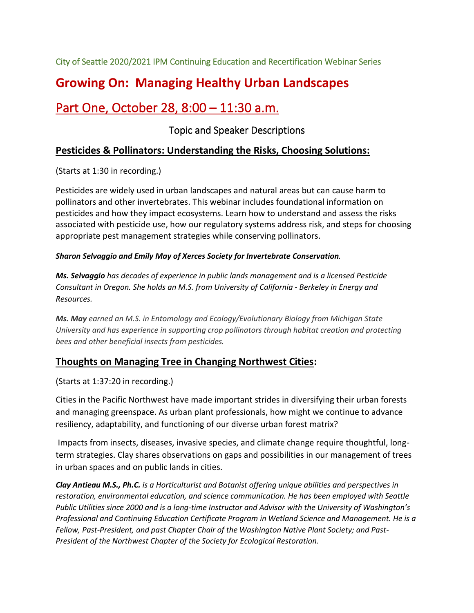City of Seattle 2020/2021 IPM Continuing Education and Recertification Webinar Series

# **Growing On: Managing Healthy Urban Landscapes**

# Part One, October 28, 8:00 – 11:30 a.m.

# Topic and Speaker Descriptions

## **Pesticides & Pollinators: Understanding the Risks, Choosing Solutions:**

(Starts at 1:30 in recording.)

Pesticides are widely used in urban landscapes and natural areas but can cause harm to pollinators and other invertebrates. This webinar includes foundational information on pesticides and how they impact ecosystems. Learn how to understand and assess the risks associated with pesticide use, how our regulatory systems address risk, and steps for choosing appropriate pest management strategies while conserving pollinators.

## *Sharon Selvaggio and Emily May of Xerces Society for Invertebrate Conservation.*

*Ms. Selvaggio has decades of experience in public lands management and is a licensed Pesticide Consultant in Oregon. She holds an M.S. from University of California - Berkeley in Energy and Resources.*

*Ms. May earned an M.S. in Entomology and Ecology/Evolutionary Biology from Michigan State University and has experience in supporting crop pollinators through habitat creation and protecting bees and other beneficial insects from pesticides.*

## **Thoughts on Managing Tree in Changing Northwest Cities:**

(Starts at 1:37:20 in recording.)

Cities in the Pacific Northwest have made important strides in diversifying their urban forests and managing greenspace. As urban plant professionals, how might we continue to advance resiliency, adaptability, and functioning of our diverse urban forest matrix?

Impacts from insects, diseases, invasive species, and climate change require thoughtful, longterm strategies. Clay shares observations on gaps and possibilities in our management of trees in urban spaces and on public lands in cities.

*Clay Antieau M.S., Ph.C. is a Horticulturist and Botanist offering unique abilities and perspectives in restoration, environmental education, and science communication. He has been employed with Seattle Public Utilities since 2000 and is a long-time Instructor and Advisor with the University of Washington's Professional and Continuing Education Certificate Program in Wetland Science and Management. He is a Fellow, Past-President, and past Chapter Chair of the Washington Native Plant Society; and Past-President of the Northwest Chapter of the Society for Ecological Restoration.*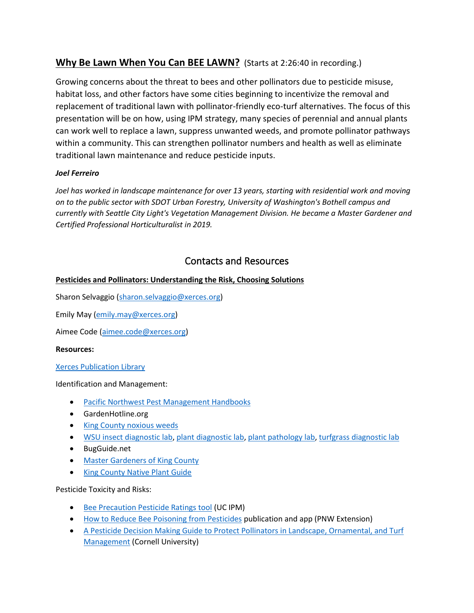## **Why Be Lawn When You Can BEE LAWN?** (Starts at 2:26:40 in recording.)

Growing concerns about the threat to bees and other pollinators due to pesticide misuse, habitat loss, and other factors have some cities beginning to incentivize the removal and replacement of traditional lawn with pollinator-friendly eco-turf alternatives. The focus of this presentation will be on how, using IPM strategy, many species of perennial and annual plants can work well to replace a lawn, suppress unwanted weeds, and promote pollinator pathways within a community. This can strengthen pollinator numbers and health as well as eliminate traditional lawn maintenance and reduce pesticide inputs.

## *Joel Ferreiro*

Joel has worked in landscape maintenance for over 13 years, starting with residential work and moving *on to the public sector with SDOT Urban Forestry, University of Washington's Bothell campus and currently with Seattle City Light's Vegetation Management Division. He became a Master Gardener and Certified Professional Horticulturalist in 2019.*

## Contacts and Resources

## **Pesticides and Pollinators: Understanding the Risk, Choosing Solutions**

Sharon Selvaggio [\(sharon.selvaggio@xerces.org\)](mailto:sharon.selvaggio@xerces.org)

Emily May [\(emily.may@xerces.org\)](mailto:emily.may@xerces.org)

Aimee Code [\(aimee.code@xerces.org\)](mailto:aimee.code@xerces.org)

#### **Resources:**

#### [Xerces Publication Library](https://xerces.org/publications/fact-sheets/guidance-to-protect-habitat-from-pesticide-contamination)

#### Identification and Management:

- [Pacific Northwest Pest Management Handbooks](https://pnwhandbooks.org/)
- GardenHotline.org
- [King County noxious weeds](https://www.kingcounty.gov/services/environment/animals-and-plants/noxious-weeds/weed-identification.aspx)
- [WSU insect diagnostic lab,](https://puyallup.wsu.edu/plantclinic/insect-identification/) [plant diagnostic lab,](https://puyallup.wsu.edu/plantclinic/plant-identification/) [plant pathology lab,](https://puyallup.wsu.edu/plantclinic/plant-problems/) [turfgrass diagnostic lab](https://puyallup.wsu.edu/plantclinic/turfgrass/)
- BugGuide.net
- [Master Gardeners of King County](https://extension.wsu.edu/king/gardening/)
- [King County Native Plant Guide](https://green2.kingcounty.gov/gonative/Plant.aspx?Act=find)

#### Pesticide Toxicity and Risks:

- [Bee Precaution Pesticide Ratings tool](https://www2.ipm.ucanr.edu/beeprecaution/) (UC IPM)
- [How to Reduce Bee Poisoning from Pesticides](https://catalog.extension.oregonstate.edu/pnw591) publication and app (PNW Extension)
- [A Pesticide Decision Making Guide to Protect Pollinators in Landscape, Ornamental, and Turf](https://pollinator.cals.cornell.edu/sites/pollinator.cals.cornell.edu/files/shared/documents/Pesticide%20Decision%20Making%20Guide%20for%20Landscape%2C%20Ornamental%20and%20Turf%20Management_022619.pdf)  [Management](https://pollinator.cals.cornell.edu/sites/pollinator.cals.cornell.edu/files/shared/documents/Pesticide%20Decision%20Making%20Guide%20for%20Landscape%2C%20Ornamental%20and%20Turf%20Management_022619.pdf) (Cornell University)